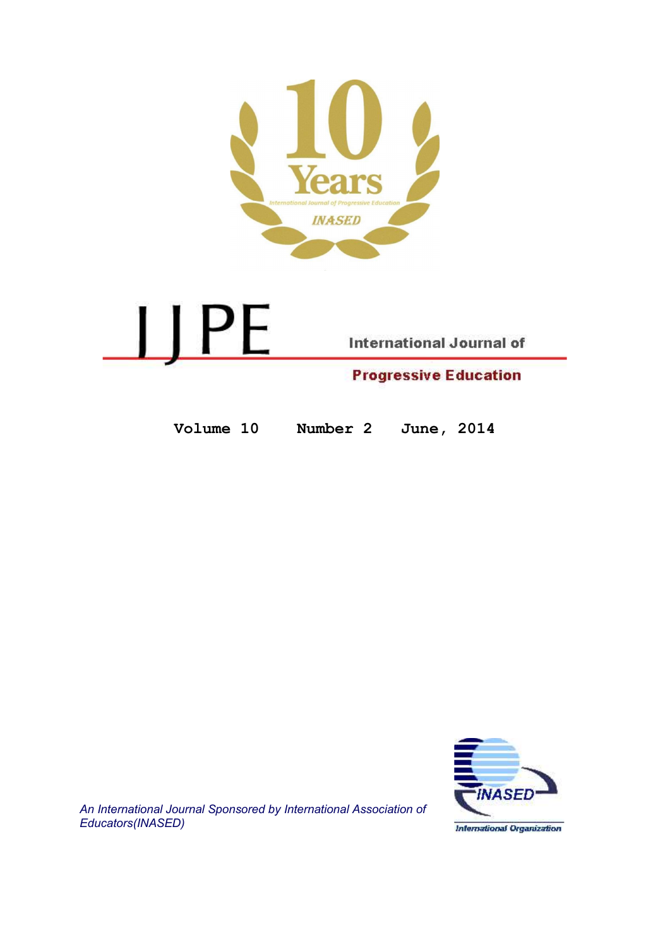

<u>IJ PE</u> **International Journal of Progressive Education** 

Volume 10 Number 2 June, 2014



An International Journal Sponsored by International Association of Educators(INASED)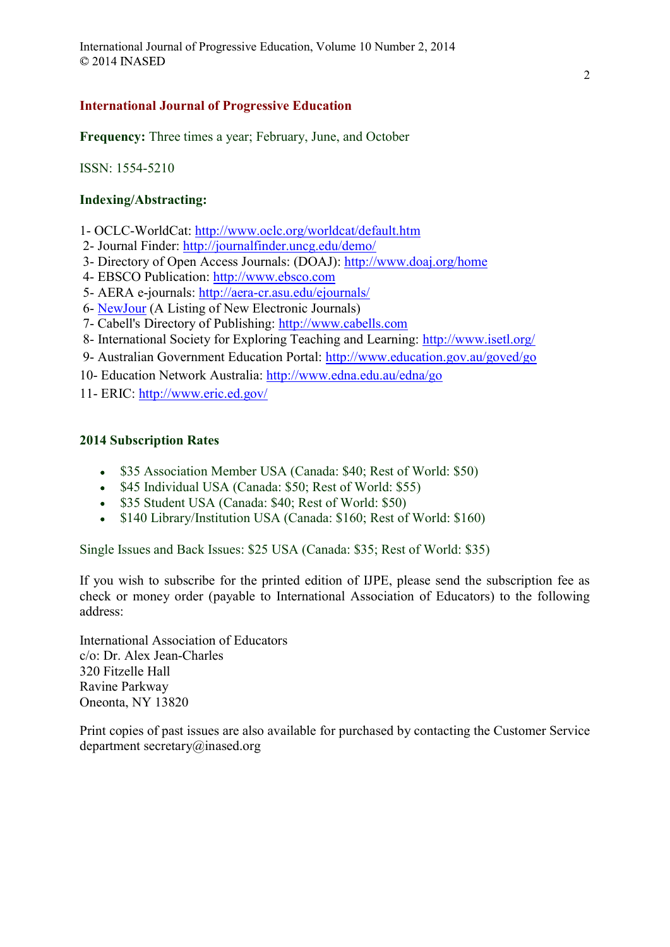# International Journal of Progressive Education

Frequency: Three times a year; February, June, and October

ISSN: 1554-5210

# Indexing/Abstracting:

- 1- OCLC-WorldCat: http://www.oclc.org/worldcat/default.htm
- 2- Journal Finder: http://journalfinder.uncg.edu/demo/
- 3- Directory of Open Access Journals: (DOAJ): http://www.doaj.org/home
- 4- EBSCO Publication: http://www.ebsco.com
- 5- AERA e-journals: http://aera-cr.asu.edu/ejournals/
- 6- NewJour (A Listing of New Electronic Journals)
- 7- Cabell's Directory of Publishing: http://www.cabells.com
- 8- International Society for Exploring Teaching and Learning: http://www.isetl.org/
- 9- Australian Government Education Portal: http://www.education.gov.au/goved/go
- 10- Education Network Australia: http://www.edna.edu.au/edna/go
- 11- ERIC: http://www.eric.ed.gov/

# 2014 Subscription Rates

- \$35 Association Member USA (Canada: \$40; Rest of World: \$50)
- \$45 Individual USA (Canada: \$50; Rest of World: \$55)
- \$35 Student USA (Canada: \$40; Rest of World: \$50)
- \$140 Library/Institution USA (Canada: \$160; Rest of World: \$160)

Single Issues and Back Issues: \$25 USA (Canada: \$35; Rest of World: \$35)

If you wish to subscribe for the printed edition of IJPE, please send the subscription fee as check or money order (payable to International Association of Educators) to the following address:

International Association of Educators c/o: Dr. Alex Jean-Charles 320 Fitzelle Hall Ravine Parkway Oneonta, NY 13820

Print copies of past issues are also available for purchased by contacting the Customer Service department secretary@inased.org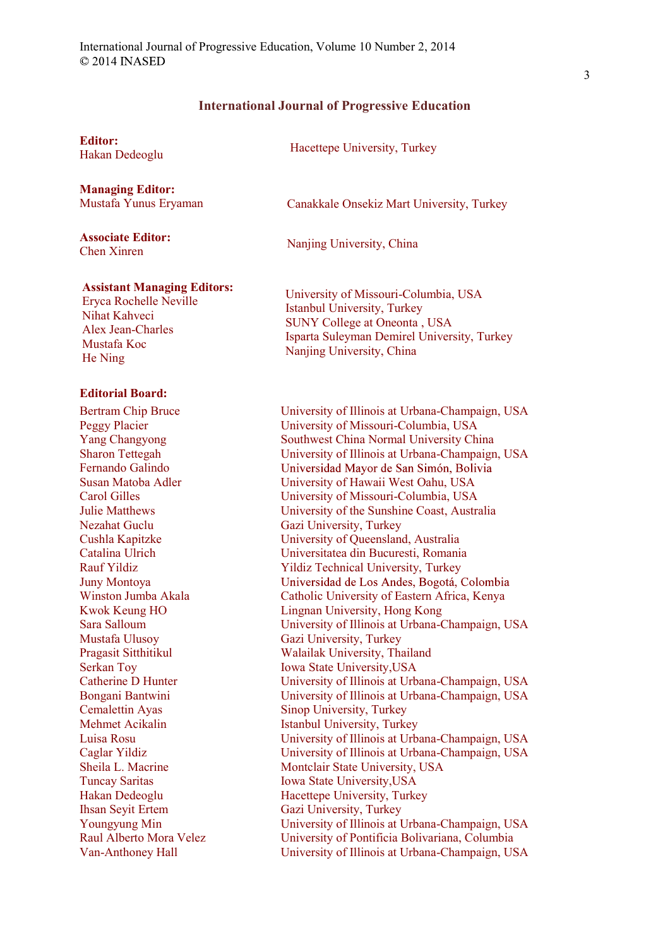# International Journal of Progressive Education

#### Editor:

**Managing Editor:**<br>Mustafa Yunus Eryaman

Associate Editor: Associate Editor: Nanjing University, China<br>Chen Xinren

Hacettepe University, Turkey<br>Hakan Dedeoglu

Canakkale Onsekiz Mart University, Turkey

#### Assistant Managing Editors:

Eryca Rochelle Neville Nihat Kahveci Alex Jean-Charles Mustafa Koc He Ning

## Editorial Board:

Bertram Chip Bruce Peggy Placier Yang Changyong Sharon Tettegah Fernando Galindo Susan Matoba Adler Carol Gilles Julie Matthews Nezahat Guclu Cushla Kapitzke Catalina Ulrich Rauf Yildiz Juny Montoya Winston Jumba Akala Kwok Keung HO Sara Salloum Mustafa Ulusoy Pragasit Sitthitikul Serkan Toy Catherine D Hunter Bongani Bantwini Cemalettin Ayas Mehmet Acikalin Luisa Rosu Caglar Yildiz Sheila L. Macrine Tuncay Saritas Hakan Dedeoglu Ihsan Seyit Ertem Youngyung Min Raul Alberto Mora Velez Van-Anthoney Hall

University of Missouri-Columbia, USA Istanbul University, Turkey SUNY College at Oneonta , USA Isparta Suleyman Demirel University, Turkey Nanjing University, China

University of Illinois at Urbana-Champaign, USA University of Missouri-Columbia, USA Southwest China Normal University China University of Illinois at Urbana-Champaign, USA Universidad Mayor de San Simón, Bolivia University of Hawaii West Oahu, USA University of Missouri-Columbia, USA University of the Sunshine Coast, Australia Gazi University, Turkey University of Queensland, Australia Universitatea din Bucuresti, Romania Yildiz Technical University, Turkey Universidad de Los Andes, Bogotá, Colombia Catholic University of Eastern Africa, Kenya Lingnan University, Hong Kong University of Illinois at Urbana-Champaign, USA Gazi University, Turkey Walailak University, Thailand Iowa State University,USA University of Illinois at Urbana-Champaign, USA University of Illinois at Urbana-Champaign, USA Sinop University, Turkey Istanbul University, Turkey University of Illinois at Urbana-Champaign, USA University of Illinois at Urbana-Champaign, USA Montclair State University, USA Iowa State University,USA Hacettepe University, Turkey Gazi University, Turkey University of Illinois at Urbana-Champaign, USA University of Pontificia Bolivariana, Columbia University of Illinois at Urbana-Champaign, USA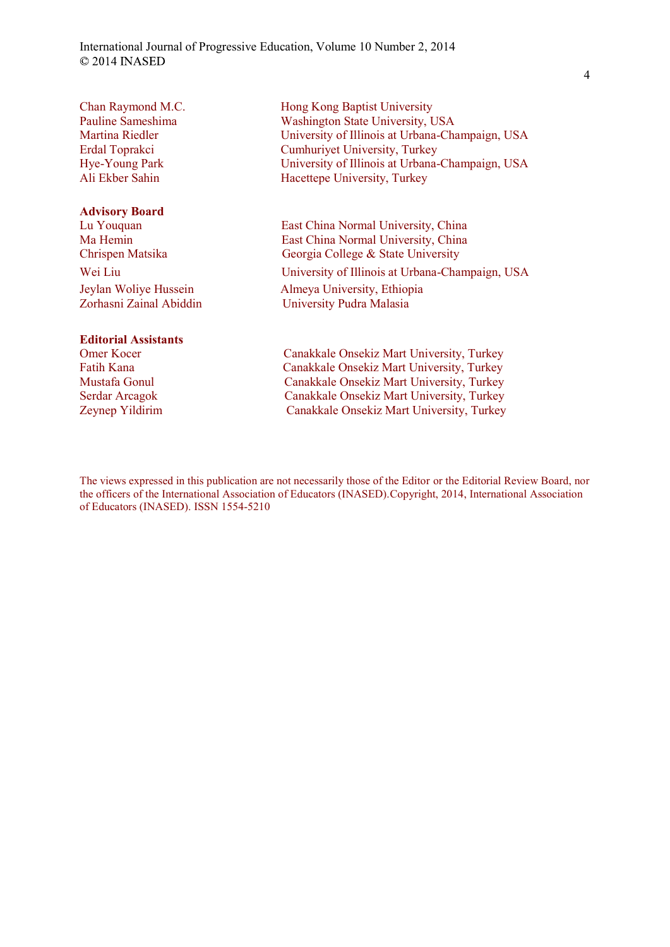International Journal of Progressive Education, Volume 10 Number 2, 2014 © 2014 INASED

Chan Raymond M.C. Pauline Sameshima Martina Riedler Erdal Toprakci Hye-Young Park Ali Ekber Sahin

#### Advisory Board

#### Editorial Assistants

Hong Kong Baptist University Washington State University, USA University of Illinois at Urbana-Champaign, USA Cumhuriyet University, Turkey University of Illinois at Urbana-Champaign, USA Hacettepe University, Turkey

Lu Youquan East China Normal University, China Ma Hemin East China Normal University, China Chrispen Matsika Georgia College & State University Wei Liu University of Illinois at Urbana-Champaign, USA Jeylan Woliye Hussein Almeya University, Ethiopia Zorhasni Zainal Abiddin University Pudra Malasia

Omer Kocer Canakkale Onsekiz Mart University, Turkey Fatih Kana Canakkale Onsekiz Mart University, Turkey Mustafa Gonul Canakkale Onsekiz Mart University, Turkey Serdar Arcagok Canakkale Onsekiz Mart University, Turkey Zeynep Yildirim Canakkale Onsekiz Mart University, Turkey

The views expressed in this publication are not necessarily those of the Editor or the Editorial Review Board, nor the officers of the International Association of Educators (INASED).Copyright, 2014, International Association of Educators (INASED). ISSN 1554-5210